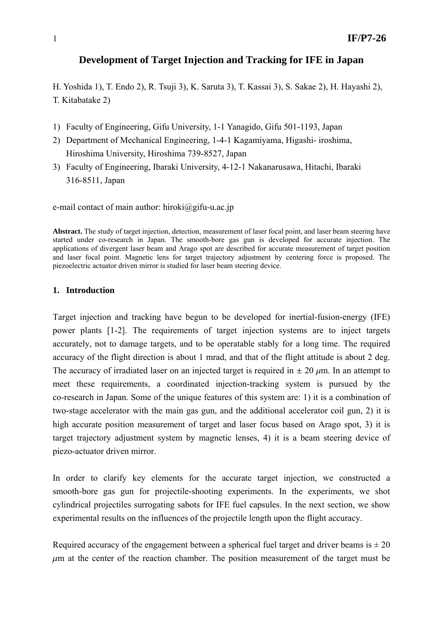# **Development of Target Injection and Tracking for IFE in Japan**

H. Yoshida 1), T. Endo 2), R. Tsuji 3), K. Saruta 3), T. Kassai 3), S. Sakae 2), H. Hayashi 2), T. Kitabatake 2)

- 1) Faculty of Engineering, Gifu University, 1-1 Yanagido, Gifu 501-1193, Japan
- 2) Department of Mechanical Engineering, 1-4-1 Kagamiyama, Higashi- iroshima, Hiroshima University, Hiroshima 739-8527, Japan
- 3) Faculty of Engineering, Ibaraki University, 4-12-1 Nakanarusawa, Hitachi, Ibaraki 316-8511, Japan

e-mail contact of main author: hiroki $\omega$ gifu-u.ac.jp

**Abstract.** The study of target injection, detection, measurement of laser focal point, and laser beam steering have started under co-research in Japan. The smooth-bore gas gun is developed for accurate injection. The applications of divergent laser beam and Arago spot are described for accurate measurement of target position and laser focal point. Magnetic lens for target trajectory adjustment by centering force is proposed. The piezoelectric actuator driven mirror is studied for laser beam steering device.

#### **1. Introduction**

Target injection and tracking have begun to be developed for inertial-fusion-energy (IFE) power plants [1-2]. The requirements of target injection systems are to inject targets accurately, not to damage targets, and to be operatable stably for a long time. The required accuracy of the flight direction is about 1 mrad, and that of the flight attitude is about 2 deg. The accuracy of irradiated laser on an injected target is required in  $\pm 20 \mu$ m. In an attempt to meet these requirements, a coordinated injection-tracking system is pursued by the co-research in Japan. Some of the unique features of this system are: 1) it is a combination of two-stage accelerator with the main gas gun, and the additional accelerator coil gun, 2) it is high accurate position measurement of target and laser focus based on Arago spot, 3) it is target trajectory adjustment system by magnetic lenses, 4) it is a beam steering device of piezo-actuator driven mirror.

In order to clarify key elements for the accurate target injection, we constructed a smooth-bore gas gun for projectile-shooting experiments. In the experiments, we shot cylindrical projectiles surrogating sabots for IFE fuel capsules. In the next section, we show experimental results on the influences of the projectile length upon the flight accuracy.

Required accuracy of the engagement between a spherical fuel target and driver beams is  $\pm 20$  $\mu$ m at the center of the reaction chamber. The position measurement of the target must be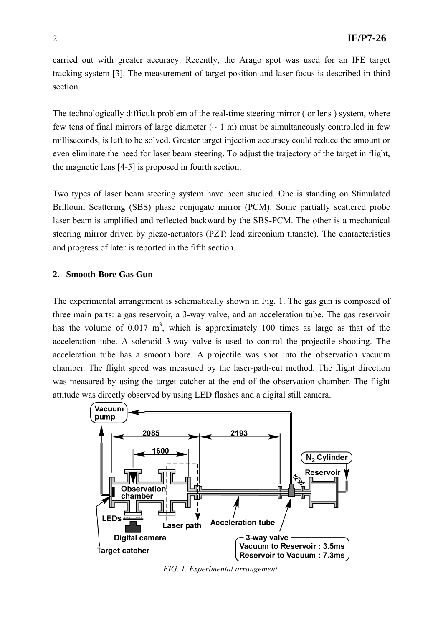carried out with greater accuracy. Recently, the Arago spot was used for an IFE target tracking system [3]. The measurement of target position and laser focus is described in third section.

The technologically difficult problem of the real-time steering mirror ( or lens ) system, where few tens of final mirrors of large diameter  $(-1 \text{ m})$  must be simultaneously controlled in few milliseconds, is left to be solved. Greater target injection accuracy could reduce the amount or even eliminate the need for laser beam steering. To adjust the trajectory of the target in flight, the magnetic lens [4-5] is proposed in fourth section.

Two types of laser beam steering system have been studied. One is standing on Stimulated Brillouin Scattering (SBS) phase conjugate mirror (PCM). Some partially scattered probe laser beam is amplified and reflected backward by the SBS-PCM. The other is a mechanical steering mirror driven by piezo-actuators (PZT: lead zirconium titanate). The characteristics and progress of later is reported in the fifth section.

### **2. Smooth-Bore Gas Gun**

The experimental arrangement is schematically shown in Fig. 1. The gas gun is composed of three main parts: a gas reservoir, a 3-way valve, and an acceleration tube. The gas reservoir has the volume of  $0.017 \text{ m}^3$ , which is approximately 100 times as large as that of the acceleration tube. A solenoid 3-way valve is used to control the projectile shooting. The acceleration tube has a smooth bore. A projectile was shot into the observation vacuum chamber. The flight speed was measured by the laser-path-cut method. The flight direction was measured by using the target catcher at the end of the observation chamber. The flight attitude was directly observed by using LED flashes and a digital still camera.

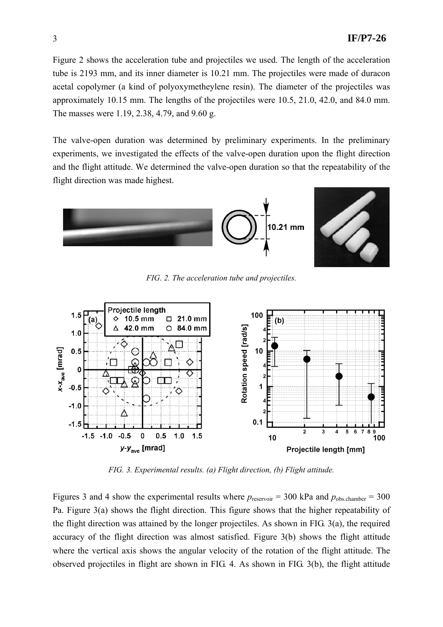Figure 2 shows the acceleration tube and projectiles we used. The length of the acceleration tube is 2193 mm, and its inner diameter is 10.21 mm. The projectiles were made of duracon acetal copolymer (a kind of polyoxymetheylene resin). The diameter of the projectiles was approximately 10.15 mm. The lengths of the projectiles were 10.5, 21.0, 42.0, and 84.0 mm. The masses were 1.19, 2.38, 4.79, and 9.60 g.

The valve-open duration was determined by preliminary experiments. In the preliminary experiments, we investigated the effects of the valve-open duration upon the flight direction and the flight attitude. We determined the valve-open duration so that the repeatability of the flight direction was made highest.





*FIG. 2. The acceleration tube and projectiles.* 



*FIG. 3. Experimental results. (a) Flight direction, (b) Flight attitude.*

Figures 3 and 4 show the experimental results where  $p_{\text{reservoir}} = 300$  kPa and  $p_{\text{obs.chamber}} = 300$ Pa. Figure 3(a) shows the flight direction. This figure shows that the higher repeatability of the flight direction was attained by the longer projectiles. As shown in FIG. 3(a), the required accuracy of the flight direction was almost satisfied. Figure 3(b) shows the flight attitude where the vertical axis shows the angular velocity of the rotation of the flight attitude. The observed projectiles in flight are shown in FIG. 4. As shown in FIG. 3(b), the flight attitude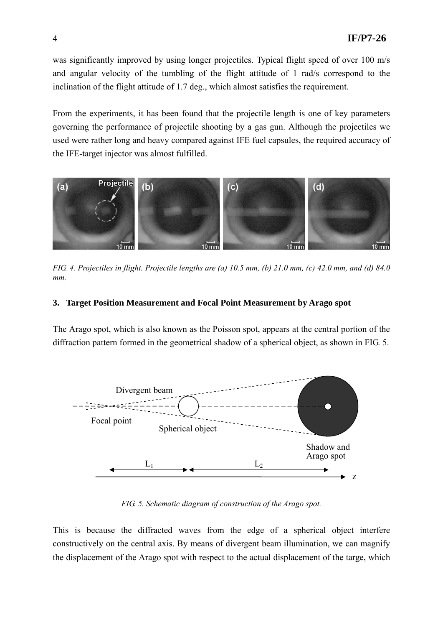was significantly improved by using longer projectiles. Typical flight speed of over 100 m/s and angular velocity of the tumbling of the flight attitude of 1 rad/s correspond to the inclination of the flight attitude of 1.7 deg., which almost satisfies the requirement.

From the experiments, it has been found that the projectile length is one of key parameters governing the performance of projectile shooting by a gas gun. Although the projectiles we used were rather long and heavy compared against IFE fuel capsules, the required accuracy of the IFE-target injector was almost fulfilled.



*FIG. 4. Projectiles in flight. Projectile lengths are (a) 10.5 mm, (b) 21.0 mm, (c) 42.0 mm, and (d) 84.0 mm.* 

# **3. Target Position Measurement and Focal Point Measurement by Arago spot**

The Arago spot, which is also known as the Poisson spot, appears at the central portion of the diffraction pattern formed in the geometrical shadow of a spherical object, as shown in FIG. 5.



*FIG. 5. Schematic diagram of construction of the Arago spot.* 

This is because the diffracted waves from the edge of a spherical object interfere constructively on the central axis. By means of divergent beam illumination, we can magnify the displacement of the Arago spot with respect to the actual displacement of the targe, which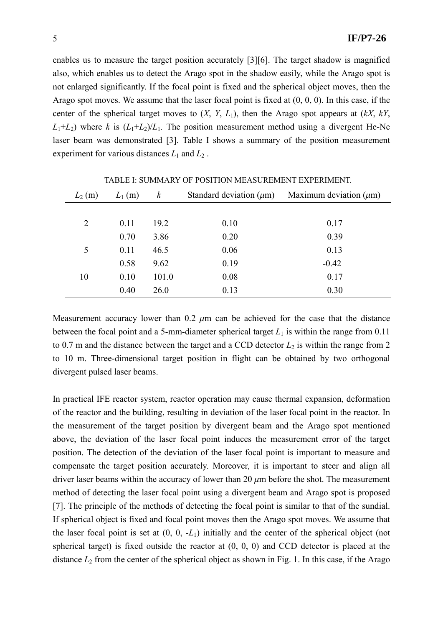enables us to measure the target position accurately [3][6]. The target shadow is magnified also, which enables us to detect the Arago spot in the shadow easily, while the Arago spot is not enlarged significantly. If the focal point is fixed and the spherical object moves, then the Arago spot moves. We assume that the laser focal point is fixed at (0, 0, 0). In this case, if the center of the spherical target moves to (*X*, *Y*, *L*1), then the Arago spot appears at (*kX*, *kY*,  $L_1+L_2$ ) where *k* is  $(L_1+L_2)/L_1$ . The position measurement method using a divergent He-Ne laser beam was demonstrated [3]. Table I shows a summary of the position measurement experiment for various distances  $L_1$  and  $L_2$ .

| $L_2(m)$ | $L_1(m)$ | $\boldsymbol{k}$ | Standard deviation $(\mu m)$ | Maximum deviation $(\mu m)$ |
|----------|----------|------------------|------------------------------|-----------------------------|
|          |          |                  |                              |                             |
| 2        | 0.11     | 19.2             | 0.10                         | 0.17                        |
|          | 0.70     | 3.86             | 0.20                         | 0.39                        |
| 5        | 0.11     | 46.5             | 0.06                         | 0.13                        |
|          | 0.58     | 9.62             | 0.19                         | $-0.42$                     |
| 10       | 0.10     | 101.0            | 0.08                         | 0.17                        |
|          | 0.40     | 26.0             | 0.13                         | 0.30                        |

TABLE I: SUMMARY OF POSITION MEASUREMENT EXPERIMENT.

Measurement accuracy lower than 0.2  $\mu$ m can be achieved for the case that the distance between the focal point and a 5-mm-diameter spherical target  $L_1$  is within the range from 0.11 to 0.7 m and the distance between the target and a CCD detector  $L_2$  is within the range from 2 to 10 m. Three-dimensional target position in flight can be obtained by two orthogonal divergent pulsed laser beams.

In practical IFE reactor system, reactor operation may cause thermal expansion, deformation of the reactor and the building, resulting in deviation of the laser focal point in the reactor. In the measurement of the target position by divergent beam and the Arago spot mentioned above, the deviation of the laser focal point induces the measurement error of the target position. The detection of the deviation of the laser focal point is important to measure and compensate the target position accurately. Moreover, it is important to steer and align all driver laser beams within the accuracy of lower than 20  $\mu$ m before the shot. The measurement method of detecting the laser focal point using a divergent beam and Arago spot is proposed [7]. The principle of the methods of detecting the focal point is similar to that of the sundial. If spherical object is fixed and focal point moves then the Arago spot moves. We assume that the laser focal point is set at (0, 0, -*L*1) initially and the center of the spherical object (not spherical target) is fixed outside the reactor at (0, 0, 0) and CCD detector is placed at the distance  $L_2$  from the center of the spherical object as shown in Fig. 1. In this case, if the Arago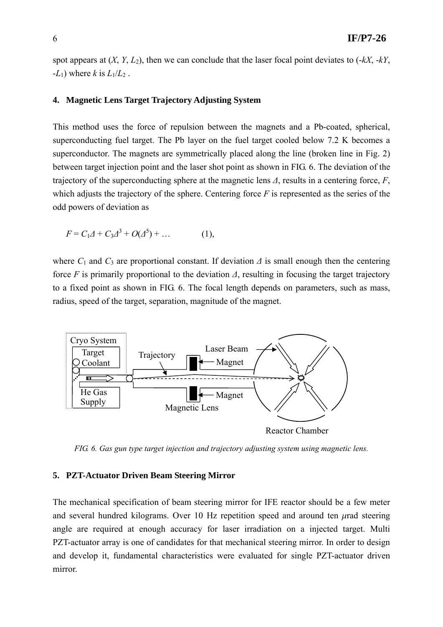spot appears at (*X*, *Y*, *L*2), then we can conclude that the laser focal point deviates to (-*kX*, -*kY*,  $-L_1$ ) where *k* is  $L_1/L_2$ .

#### **4. Magnetic Lens Target Trajectory Adjusting System**

This method uses the force of repulsion between the magnets and a Pb-coated, spherical, superconducting fuel target. The Pb layer on the fuel target cooled below 7.2 K becomes a superconductor. The magnets are symmetrically placed along the line (broken line in Fig. 2) between target injection point and the laser shot point as shown in FIG. 6. The deviation of the trajectory of the superconducting sphere at the magnetic lens *Δ*, results in a centering force, *F*, which adjusts the trajectory of the sphere. Centering force  $F$  is represented as the series of the odd powers of deviation as

$$
F = C_1 \Delta + C_3 \Delta^3 + O(\Delta^5) + \dots
$$
 (1),

where  $C_1$  and  $C_3$  are proportional constant. If deviation  $\Delta$  is small enough then the centering force *F* is primarily proportional to the deviation *Δ*, resulting in focusing the target trajectory to a fixed point as shown in FIG. 6. The focal length depends on parameters, such as mass, radius, speed of the target, separation, magnitude of the magnet.



*FIG. 6. Gas gun type target injection and trajectory adjusting system using magnetic lens.* 

#### **5. PZT-Actuator Driven Beam Steering Mirror**

The mechanical specification of beam steering mirror for IFE reactor should be a few meter and several hundred kilograms. Over 10 Hz repetition speed and around ten  $\mu$ rad steering angle are required at enough accuracy for laser irradiation on a injected target. Multi PZT-actuator array is one of candidates for that mechanical steering mirror. In order to design and develop it, fundamental characteristics were evaluated for single PZT-actuator driven mirror.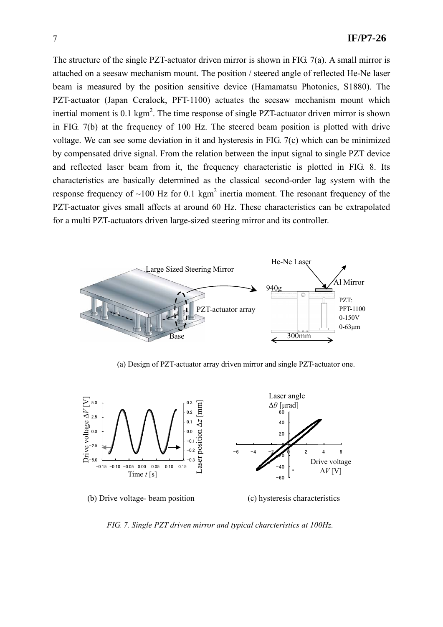The structure of the single PZT-actuator driven mirror is shown in FIG. 7(a). A small mirror is attached on a seesaw mechanism mount. The position / steered angle of reflected He-Ne laser beam is measured by the position sensitive device (Hamamatsu Photonics, S1880). The PZT-actuator (Japan Ceralock, PFT-1100) actuates the seesaw mechanism mount which inertial moment is  $0.1 \text{ kgm}^2$ . The time response of single PZT-actuator driven mirror is shown in FIG. 7(b) at the frequency of 100 Hz. The steered beam position is plotted with drive voltage. We can see some deviation in it and hysteresis in FIG. 7(c) which can be minimized by compensated drive signal. From the relation between the input signal to single PZT device and reflected laser beam from it, the frequency characteristic is plotted in FIG. 8. Its characteristics are basically determined as the classical second-order lag system with the response frequency of  $\sim$ 100 Hz for 0.1 kgm<sup>2</sup> inertia moment. The resonant frequency of the PZT-actuator gives small affects at around 60 Hz. These characteristics can be extrapolated for a multi PZT-actuators driven large-sized steering mirror and its controller.



(a) Design of PZT-actuator array driven mirror and single PZT-actuator one.



*FIG. 7. Single PZT driven mirror and typical charcteristics at 100Hz.*